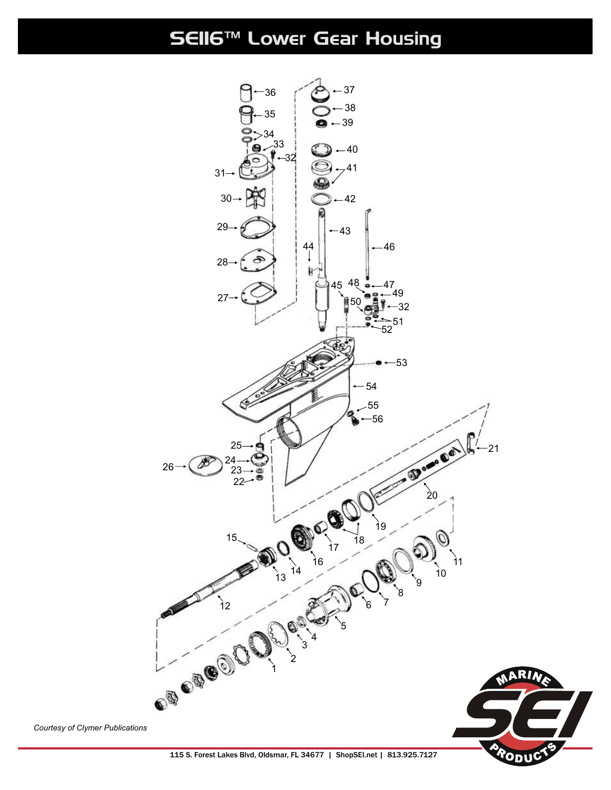SE116™ Lower Gear Housing



*Courtesy of Clymer Publications*

115 S. Forest Lakes Blvd, Oldsmar, FL 34677 | ShopSEI.net | 813.925.7127

ΟDι